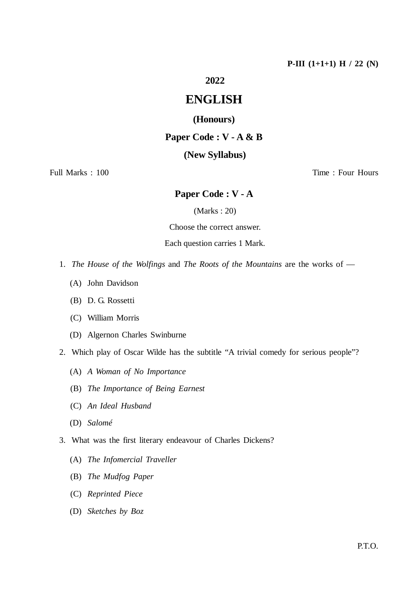### **2022**

# **ENGLISH**

### **(Honours)**

### **Paper Code : V - A & B**

### **(New Syllabus)**

Full Marks : 100 Time : Four Hours

## **Paper Code : V - A**

(Marks : 20)

Choose the correct answer.

Each question carries 1 Mark.

- 1. *The House of the Wolfings* and *The Roots of the Mountains* are the works of
	- (A) John Davidson
	- (B) D. G. Rossetti
	- (C) William Morris
	- (D) Algernon Charles Swinburne
- 2. Which play of Oscar Wilde has the subtitle "A trivial comedy for serious people"?
	- (A) *A Woman of No Importance*
	- (B) *The Importance of Being Earnest*
	- (C) *An Ideal Husband*
	- (D) *Salomé*
- 3. What was the first literary endeavour of Charles Dickens?
	- (A) *The Infomercial Traveller*
	- (B) *The Mudfog Paper*
	- (C) *Reprinted Piece*
	- (D) *Sketches by Boz*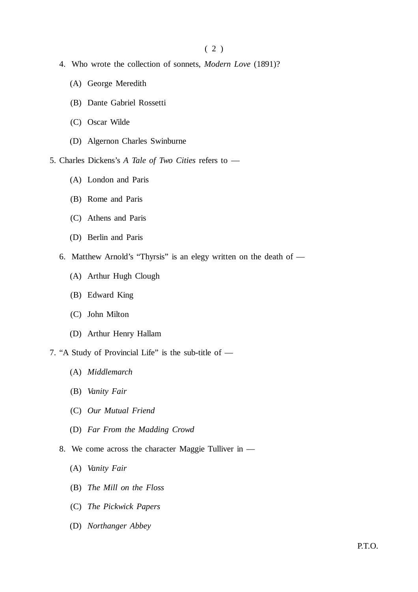- 4. Who wrote the collection of sonnets, *Modern Love* (1891)?
	- (A) George Meredith
	- (B) Dante Gabriel Rossetti
	- (C) Oscar Wilde
	- (D) Algernon Charles Swinburne

5. Charles Dickens's *A Tale of Two Cities* refers to —

- (A) London and Paris
- (B) Rome and Paris
- (C) Athens and Paris
- (D) Berlin and Paris
- 6. Matthew Arnold's "Thyrsis" is an elegy written on the death of
	- (A) Arthur Hugh Clough
	- (B) Edward King
	- (C) John Milton
	- (D) Arthur Henry Hallam
- 7. "A Study of Provincial Life" is the sub-title of
	- (A) *Middlemarch*
	- (B) *Vanity Fair*
	- (C) *Our Mutual Friend*
	- (D) *Far From the Madding Crowd*
	- 8. We come across the character Maggie Tulliver in
		- (A) *Vanity Fair*
		- (B) *The Mill on the Floss*
		- (C) *The Pickwick Papers*
		- (D) *Northanger Abbey*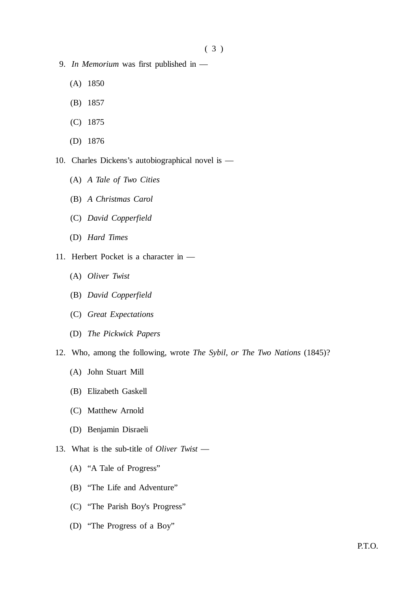- 9. *In Memorium* was first published in
	- (A) 1850
	- (B) 1857
	- (C) 1875
	- (D) 1876
- 10. Charles Dickens's autobiographical novel is
	- (A) *A Tale of Two Cities*
	- (B) *A Christmas Carol*
	- (C) *David Copperfield*
	- (D) *Hard Times*
- 11. Herbert Pocket is a character in
	- (A) *Oliver Twist*
	- (B) *David Copperfield*
	- (C) *Great Expectations*
	- (D) *The Pickwick Papers*
- 12. Who, among the following, wrote *The Sybil, or The Two Nations* (1845)?
	- (A) John Stuart Mill
	- (B) Elizabeth Gaskell
	- (C) Matthew Arnold
	- (D) Benjamin Disraeli
- 13. What is the sub-title of *Oliver Twist*
	- (A) "A Tale of Progress"
	- (B) "The Life and Adventure"
	- (C) "The Parish Boy's Progress"
	- (D) "The Progress of a Boy"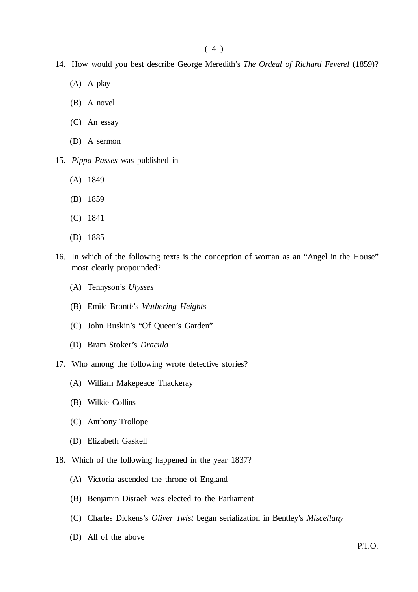- 14. How would you best describe George Meredith's *The Ordeal of Richard Feverel* (1859)?
	- (A) A play
	- (B) A novel
	- (C) An essay
	- (D) A sermon
- 15. *Pippa Passes* was published in
	- (A) 1849
	- (B) 1859
	- (C) 1841
	- (D) 1885
- 16. In which of the following texts is the conception of woman as an "Angel in the House" most clearly propounded?
	- (A) Tennyson's *Ulysses*
	- (B) Emile Brontë's *Wuthering Heights*
	- (C) John Ruskin's "Of Queen's Garden"
	- (D) Bram Stoker's *Dracula*
- 17. Who among the following wrote detective stories?
	- (A) William Makepeace Thackeray
	- (B) Wilkie Collins
	- (C) Anthony Trollope
	- (D) Elizabeth Gaskell
- 18. Which of the following happened in the year 1837?
	- (A) Victoria ascended the throne of England
	- (B) Benjamin Disraeli was elected to the Parliament
	- (C) Charles Dickens's *Oliver Twist* began serialization in Bentley's *Miscellany*
	- (D) All of the above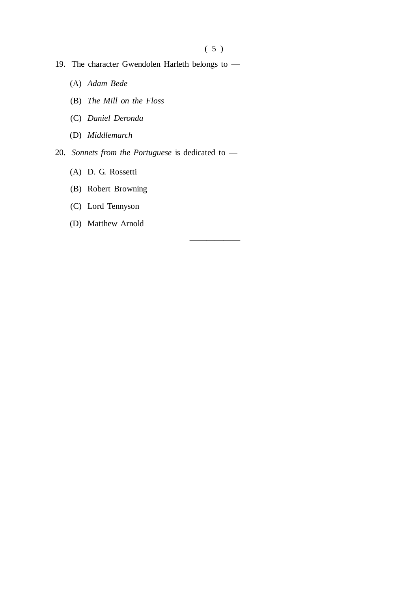——————

- 19. The character Gwendolen Harleth belongs to
	- (A) *Adam Bede*
	- (B) *The Mill on the Floss*
	- (C) *Daniel Deronda*
	- (D) *Middlemarch*
- 20. *Sonnets from the Portuguese* is dedicated to
	- (A) D. G. Rossetti
	- (B) Robert Browning
	- (C) Lord Tennyson
	- (D) Matthew Arnold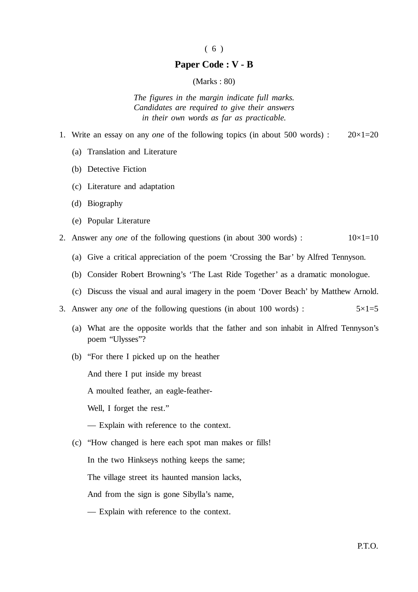#### ( 6 )

### **Paper Code : V - B**

### (Marks : 80)

*The figures in the margin indicate full marks. Candidates are required to give their answers in their own words as far as practicable.*

- 1. Write an essay on any *one* of the following topics (in about 500 words) : 20×1=20
	- (a) Translation and Literature
	- (b) Detective Fiction
	- (c) Literature and adaptation
	- (d) Biography
	- (e) Popular Literature
- 2. Answer any *one* of the following questions (in about 300 words) :  $10\times1=10$ 
	- (a) Give a critical appreciation of the poem 'Crossing the Bar' by Alfred Tennyson.
	- (b) Consider Robert Browning's 'The Last Ride Together' as a dramatic monologue.
	- (c) Discuss the visual and aural imagery in the poem 'Dover Beach' by Matthew Arnold.
- 3. Answer any *one* of the following questions (in about 100 words) :  $5 \times 1 = 5$ 
	- (a) What are the opposite worlds that the father and son inhabit in Alfred Tennyson's poem "Ulysses"?
	- (b) "For there I picked up on the heather

And there I put inside my breast

A moulted feather, an eagle-feather-

Well, I forget the rest."

- Explain with reference to the context.
- (c) "How changed is here each spot man makes or fills!

In the two Hinkseys nothing keeps the same;

The village street its haunted mansion lacks,

And from the sign is gone Sibylla's name,

— Explain with reference to the context.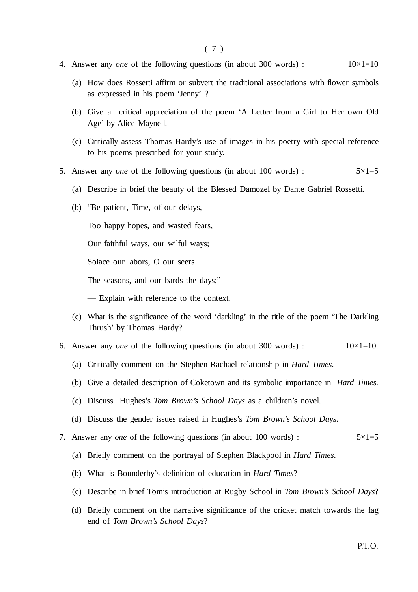- 4. Answer any *one* of the following questions (in about 300 words) :  $10\times1=10$ 
	- (a) How does Rossetti affirm or subvert the traditional associations with flower symbols as expressed in his poem 'Jenny' ?
	- (b) Give a critical appreciation of the poem 'A Letter from a Girl to Her own Old Age' by Alice Maynell.
	- (c) Critically assess Thomas Hardy's use of images in his poetry with special reference to his poems prescribed for your study.
- 5. Answer any *one* of the following questions (in about 100 words) :  $5 \times 1 = 5$ 
	- (a) Describe in brief the beauty of the Blessed Damozel by Dante Gabriel Rossetti.
	- (b) "Be patient, Time, of our delays,

Too happy hopes, and wasted fears,

Our faithful ways, our wilful ways;

Solace our labors, O our seers

The seasons, and our bards the days;"

— Explain with reference to the context.

- (c) What is the significance of the word 'darkling' in the title of the poem 'The Darkling Thrush' by Thomas Hardy?
- 6. Answer any *one* of the following questions (in about 300 words) :  $10 \times 1 = 10$ .
	- (a) Critically comment on the Stephen-Rachael relationship in *Hard Times*.
	- (b) Give a detailed description of Coketown and its symbolic importance in *Hard Times*.
	- (c) Discuss Hughes's *Tom Brown's School Days* as a children's novel.
	- (d) Discuss the gender issues raised in Hughes's *Tom Brown's School Days*.
- 7. Answer any *one* of the following questions (in about 100 words) : 5×1=5
	- (a) Briefly comment on the portrayal of Stephen Blackpool in *Hard Times*.
	- (b) What is Bounderby's definition of education in *Hard Times*?
	- (c) Describe in brief Tom's introduction at Rugby School in *Tom Brown's School Days*?
	- (d) Briefly comment on the narrative significance of the cricket match towards the fag end of *Tom Brown's School Days*?